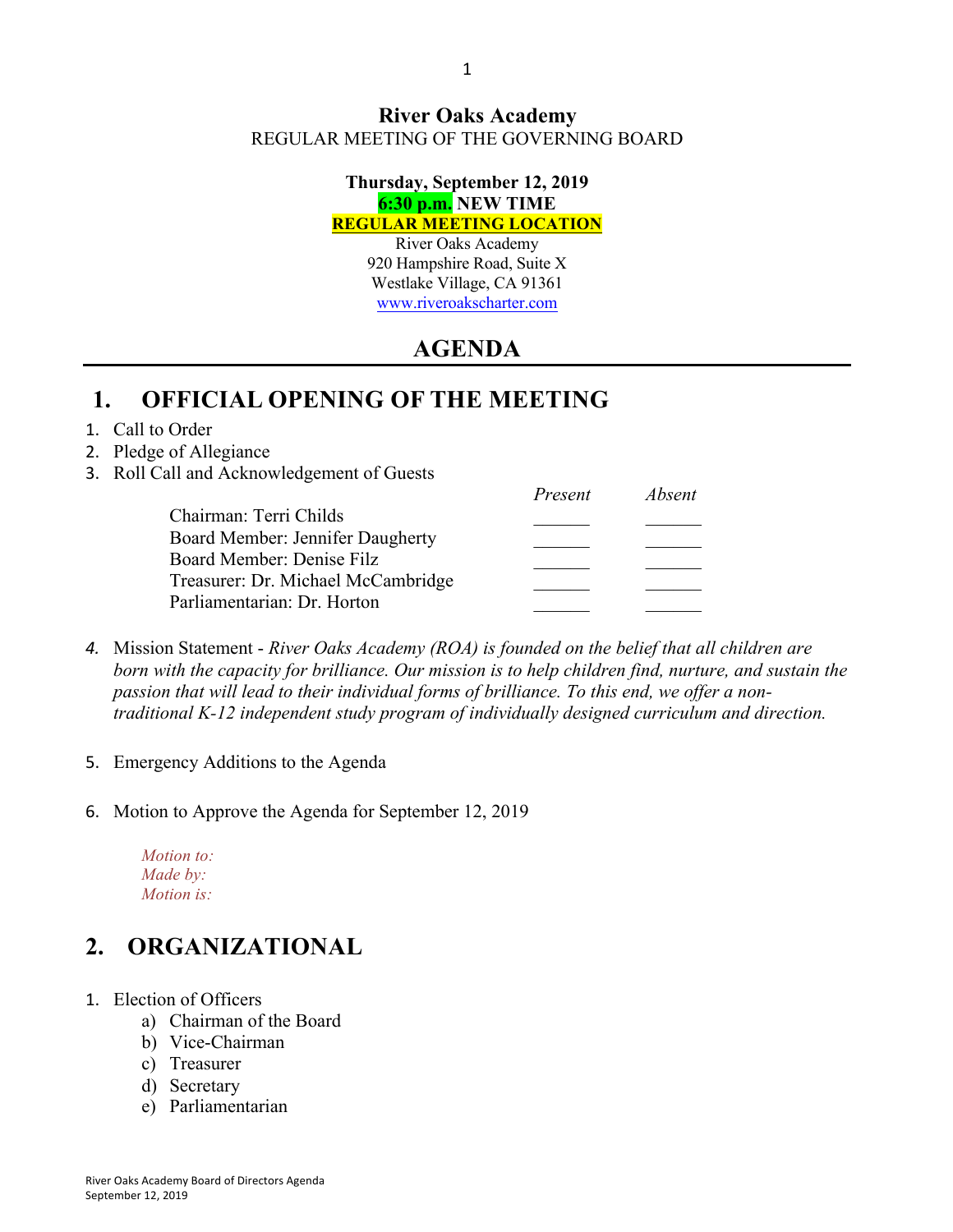#### **River Oaks Academy** REGULAR MEETING OF THE GOVERNING BOARD

#### **Thursday, September 12, 2019 6:30 p.m. NEW TIME REGULAR MEETING LOCATION**

River Oaks Academy 920 Hampshire Road, Suite X Westlake Village, CA 91361 www.riveroakscharter.com

# **AGENDA**

## **1. OFFICIAL OPENING OF THE MEETING**

#### 1. Call to Order

#### 2. Pledge of Allegiance

#### 3. Roll Call and Acknowledgement of Guests

|                                    | Present | Absent |
|------------------------------------|---------|--------|
| Chairman: Terri Childs             |         |        |
| Board Member: Jennifer Daugherty   |         |        |
| Board Member: Denise Filz          |         |        |
| Treasurer: Dr. Michael McCambridge |         |        |
| Parliamentarian: Dr. Horton        |         |        |

- *4.* Mission Statement *River Oaks Academy (ROA) is founded on the belief that all children are born with the capacity for brilliance. Our mission is to help children find, nurture, and sustain the passion that will lead to their individual forms of brilliance. To this end, we offer a nontraditional K-12 independent study program of individually designed curriculum and direction.*
- 5. Emergency Additions to the Agenda
- 6. Motion to Approve the Agenda for September 12, 2019
	- *Motion to: Made by: Motion is:*

## **2. ORGANIZATIONAL**

- 1. Election of Officers
	- a) Chairman of the Board
	- b) Vice-Chairman
	- c) Treasurer
	- d) Secretary
	- e) Parliamentarian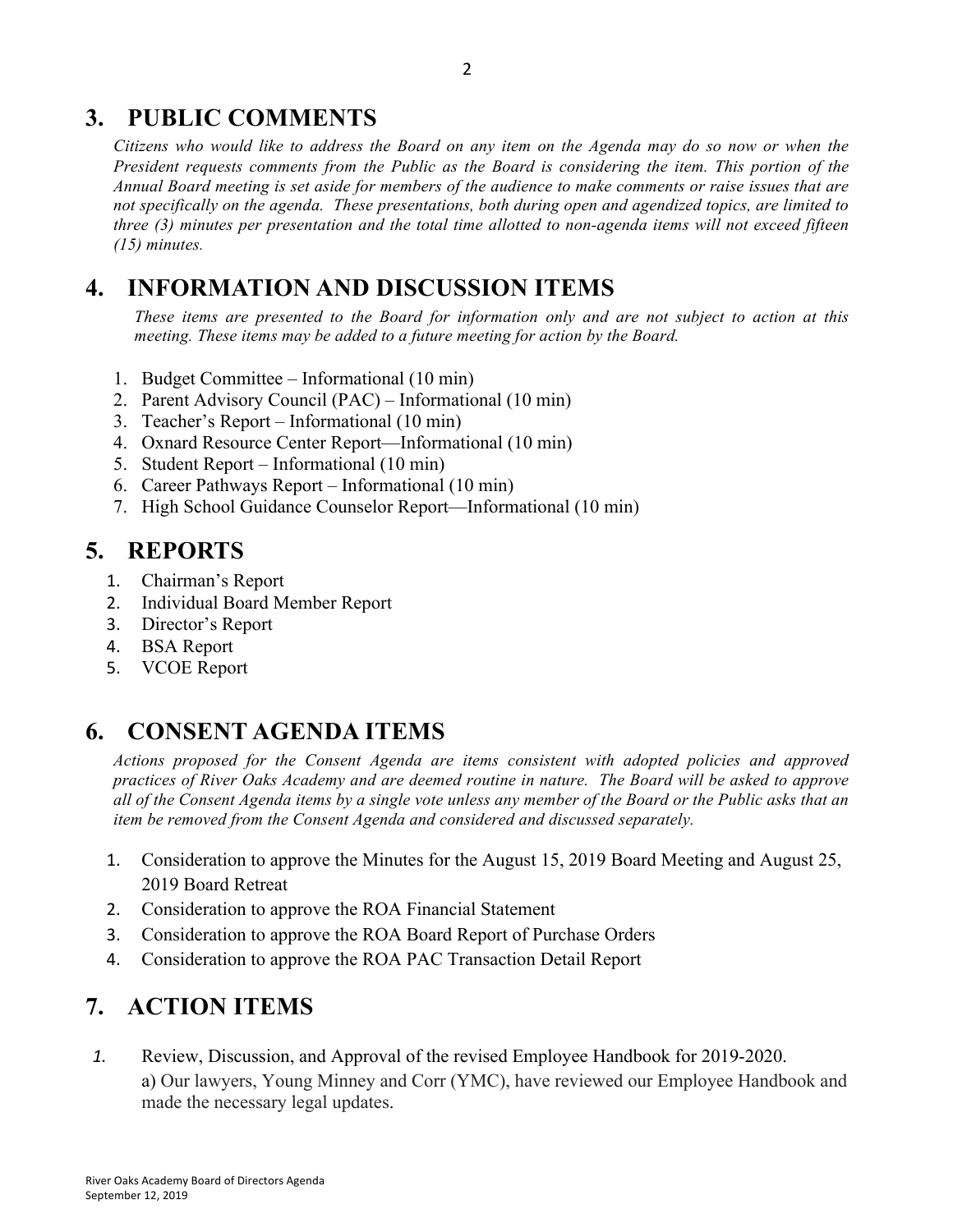## **3. PUBLIC COMMENTS**

*Citizens who would like to address the Board on any item on the Agenda may do so now or when the President requests comments from the Public as the Board is considering the item. This portion of the Annual Board meeting is set aside for members of the audience to make comments or raise issues that are not specifically on the agenda. These presentations, both during open and agendized topics, are limited to three (3) minutes per presentation and the total time allotted to non-agenda items will not exceed fifteen (15) minutes.*

## **4. INFORMATION AND DISCUSSION ITEMS**

*These items are presented to the Board for information only and are not subject to action at this meeting. These items may be added to a future meeting for action by the Board.*

- 1. Budget Committee Informational (10 min)
- 2. Parent Advisory Council (PAC) Informational (10 min)
- 3. Teacher's Report Informational (10 min)
- 4. Oxnard Resource Center Report—Informational (10 min)
- 5. Student Report Informational (10 min)
- 6. Career Pathways Report Informational (10 min)
- 7. High School Guidance Counselor Report—Informational (10 min)

### **5. REPORTS**

- 1. Chairman's Report
- 2. Individual Board Member Report
- 3. Director's Report
- 4. BSA Report
- 5. VCOE Report

## **6. CONSENT AGENDA ITEMS**

*Actions proposed for the Consent Agenda are items consistent with adopted policies and approved practices of River Oaks Academy and are deemed routine in nature. The Board will be asked to approve all of the Consent Agenda items by a single vote unless any member of the Board or the Public asks that an item be removed from the Consent Agenda and considered and discussed separately.*

- 1. Consideration to approve the Minutes for the August 15, 2019 Board Meeting and August 25, 2019 Board Retreat
- 2. Consideration to approve the ROA Financial Statement
- 3. Consideration to approve the ROA Board Report of Purchase Orders
- 4. Consideration to approve the ROA PAC Transaction Detail Report

## **7. ACTION ITEMS**

*1.* Review, Discussion, and Approval of the revised Employee Handbook for 2019-2020. a) Our lawyers, Young Minney and Corr (YMC), have reviewed our Employee Handbook and made the necessary legal updates.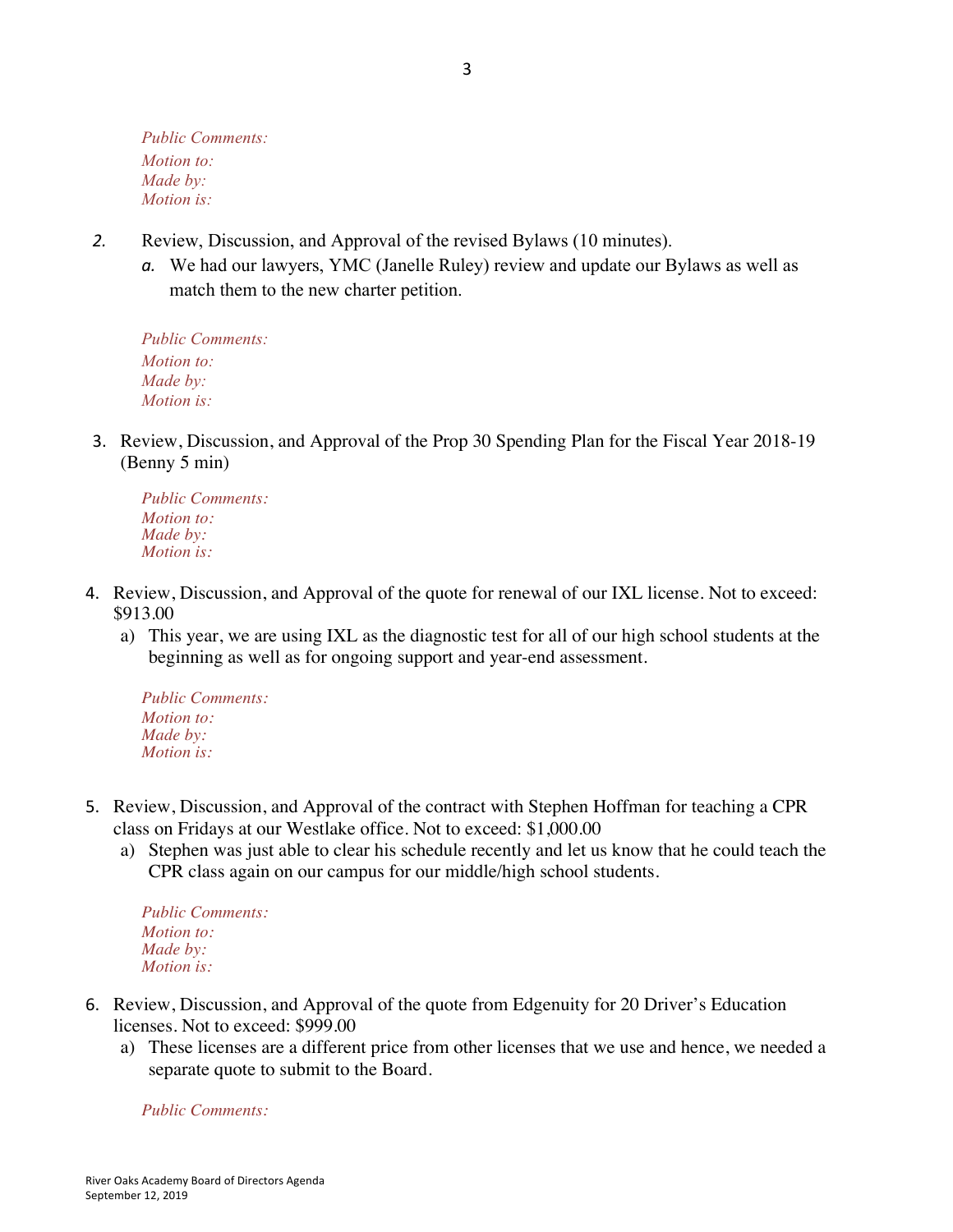*Public Comments: Motion to: Made by: Motion is:*

- *2.* Review, Discussion, and Approval of the revised Bylaws (10 minutes).
	- *a.* We had our lawyers, YMC (Janelle Ruley) review and update our Bylaws as well as match them to the new charter petition.

*Public Comments: Motion to: Made by: Motion is:*

3. Review, Discussion, and Approval of the Prop 30 Spending Plan for the Fiscal Year 2018-19 (Benny 5 min)

*Public Comments: Motion to: Made by: Motion is:*

- 4. Review, Discussion, and Approval of the quote for renewal of our IXL license. Not to exceed: \$913.00
	- a) This year, we are using IXL as the diagnostic test for all of our high school students at the beginning as well as for ongoing support and year-end assessment.

*Public Comments: Motion to: Made by: Motion is:*

- 5. Review, Discussion, and Approval of the contract with Stephen Hoffman for teaching a CPR class on Fridays at our Westlake office. Not to exceed: \$1,000.00
	- a) Stephen was just able to clear his schedule recently and let us know that he could teach the CPR class again on our campus for our middle/high school students.

*Public Comments: Motion to: Made by: Motion is:*

- 6. Review, Discussion, and Approval of the quote from Edgenuity for 20 Driver's Education licenses. Not to exceed: \$999.00
	- a) These licenses are a different price from other licenses that we use and hence, we needed a separate quote to submit to the Board.

*Public Comments:*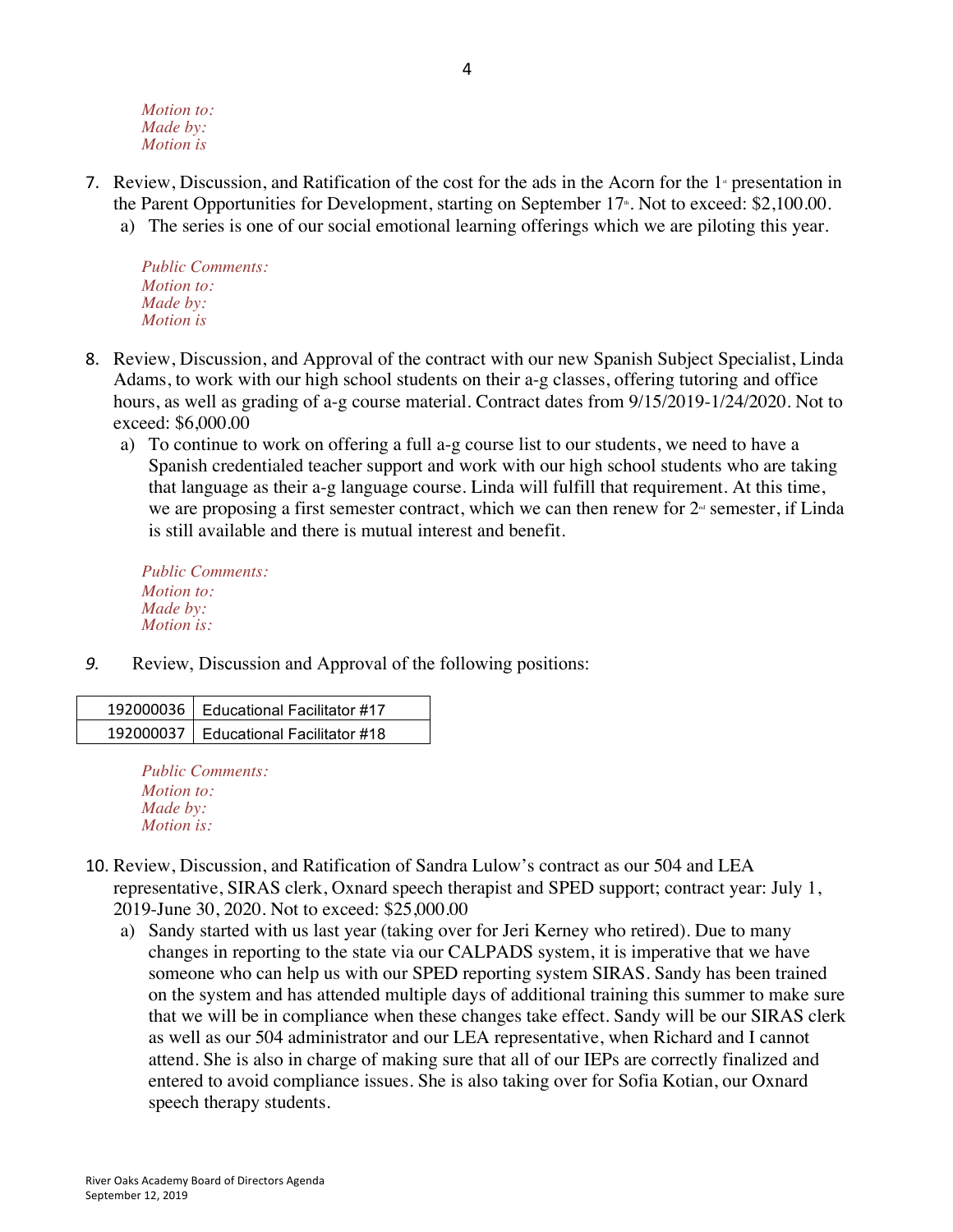*Motion to: Made by: Motion is*

- 7. Review, Discussion, and Ratification of the cost for the ads in the Acorn for the  $1<sup>*</sup>$  presentation in the Parent Opportunities for Development, starting on September  $17<sup>*</sup>$ . Not to exceed: \$2,100.00.
	- a) The series is one of our social emotional learning offerings which we are piloting this year.

*Public Comments: Motion to: Made by: Motion is*

- 8. Review, Discussion, and Approval of the contract with our new Spanish Subject Specialist, Linda Adams, to work with our high school students on their a-g classes, offering tutoring and office hours, as well as grading of a-g course material. Contract dates from 9/15/2019-1/24/2020. Not to exceed: \$6,000.00
	- a) To continue to work on offering a full a-g course list to our students, we need to have a Spanish credentialed teacher support and work with our high school students who are taking that language as their a-g language course. Linda will fulfill that requirement. At this time, we are proposing a first semester contract, which we can then renew for  $2<sup>d</sup>$  semester, if Linda is still available and there is mutual interest and benefit.

*Public Comments: Motion to: Made by: Motion is:*

*9.* Review, Discussion and Approval of the following positions:

| 192000036   Educational Facilitator #17 |
|-----------------------------------------|
| 192000037   Educational Facilitator #18 |

*Public Comments: Motion to: Made by: Motion is:*

- 10. Review, Discussion, and Ratification of Sandra Lulow's contract as our 504 and LEA representative, SIRAS clerk, Oxnard speech therapist and SPED support; contract year: July 1, 2019-June 30, 2020. Not to exceed: \$25,000.00
	- a) Sandy started with us last year (taking over for Jeri Kerney who retired). Due to many changes in reporting to the state via our CALPADS system, it is imperative that we have someone who can help us with our SPED reporting system SIRAS. Sandy has been trained on the system and has attended multiple days of additional training this summer to make sure that we will be in compliance when these changes take effect. Sandy will be our SIRAS clerk as well as our 504 administrator and our LEA representative, when Richard and I cannot attend. She is also in charge of making sure that all of our IEPs are correctly finalized and entered to avoid compliance issues. She is also taking over for Sofia Kotian, our Oxnard speech therapy students.